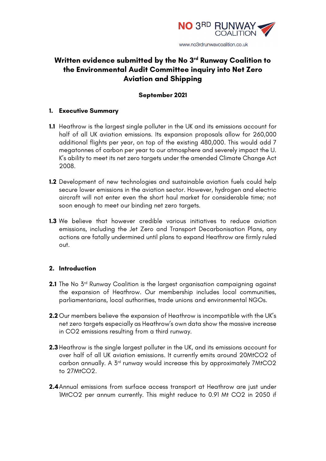

# **Written evidence submitted by the No 3rd Runway Coalition to the Environmental Audit Committee inquiry into Net Zero Aviation and Shipping**

### **September 2021**

#### **1. Executive Summary**

- **1.1** Heathrow is the largest single polluter in the UK and its emissions account for half of all UK aviation emissions. Its expansion proposals allow for 260,000 additional flights per year, on top of the existing 480,000. This would add 7 megatonnes of carbon per year to our atmosphere and severely impact the U. K's ability to meet its net zero targets under the amended Climate Change Act 2008.
- **1.2** Development of new technologies and sustainable aviation fuels could help secure lower emissions in the aviation sector. However, hydrogen and electric aircraft will not enter even the short haul market for considerable time; not soon enough to meet our binding net zero targets.
- **1.3** We believe that however credible various initiatives to reduce aviation emissions, including the Jet Zero and Transport Decarbonisation Plans, any actions are fatally undermined until plans to expand Heathrow are firmly ruled out.

#### **2. Introduction**

- **2.1** The No 3<sup>rd</sup> Runway Coalition is the largest organisation campaigning against the expansion of Heathrow. Our membership includes local communities, parliamentarians, local authorities, trade unions and environmental NGOs.
- **2.2** Our members believe the expansion of Heathrow is incompatible with the UK's net zero targets especially as Heathrow's own data show the massive increase in CO2 emissions resulting from a third runway.
- **2.3** Heathrow is the single largest polluter in the UK, and its emissions account for over half of all UK aviation emissions. It currently emits around 20MtCO2 of carbon annually. A 3rd runway would increase this by approximately 7MtCO2 to 27MtCO2.
- **2.4**Annual emissions from surface access transport at Heathrow are just under 1MtCO2 per annum currently. This might reduce to 0.91 Mt CO2 in 2050 if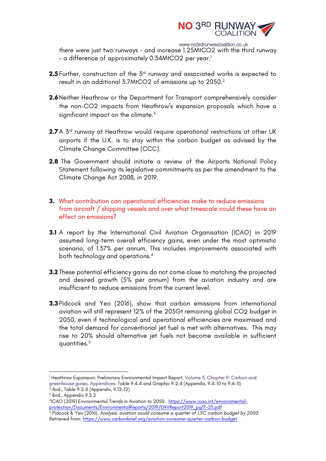

www.no3rdrunwaycoalition.co.uk

there were just two runways - and increase 1.25MtCO2 with the third runway – a difference of approximately 0.34MtCO2 per year.<sup>1</sup>

- **2.5** Further, construction of the 3<sup>rd</sup> runway and associated works is expected to result in an additional 3.7MtCO2 of emissions up to 2050.2
- **2.6**Neither Heathrow or the Department for Transport comprehensively consider the non-CO2 impacts from Heathrow's expansion proposals which have a significant impact on the climate.<sup>3</sup>
- **2.7** A 3<sup>rd</sup> runway at Heathrow would require operational restrictions at other UK airports if the U.K. is to stay within the carbon budget as advised by the Climate Change Committee (CCC).
- **2.8** The Government should initiate a review of the Airports National Policy Statement following its legislative commitments as per the amendment to the Climate Change Act 2008, in 2019.
- **3.** What contribution can operational efficiencies make to reduce emissions from aircraft / shipping vessels and over what timescale could these have an effect on emissions?
- **3.1** A report by the International Civil Aviation Organisation (ICAO) in 2019 assumed long-term overall efficiency gains, even under the most optimistic scenario, of 1.37% per annum. This includes improvements associated with both technology and operations.4
- **3.2** These potential efficiency gains do not come close to matching the projected and desired growth (5% per annum) from the aviation industry and are insufficient to reduce emissions from the current level.
- **3.3** Pidcock and Yeo (2016), show that carbon emissions from international aviation will still represent 12% of the 205Gt remaining global CO2 budget in 2050, even if technological and operational efficiencies are maximised and the total demand for conventional jet fuel is met with alternatives. This may rise to 20% should alternative jet fuels not become available in sufficient quantities.<sup>5</sup>

<sup>1</sup> Heathrow Expansion: Preliminary Environmental Impact Report, Volume 3, Chapter 9: Carbon and greenhouse gases. Appendices. Table 9.4.4 and Graphic 9.2.4 (Appendix, 9.4-10 to 9.4-11)

 $^2$  Ibid., Table 9.2.4 (Appendix, 9.12-12)

 $3$  Ibid., Appendix  $9.3.2$ 

<sup>4</sup>ICAO (2019) Environmental Trends in Aviation to 2050. https://www.icao.int/environmentalprotection/Documents/EnvironmentalReports/2019/ENVReport2019\_pg17-23.pdf

<sup>5</sup> Pidcock & Yeo (2016). *Analysis: aviation could consume a quarter of 1.5C carbon budget by 2050.*  Retrieved from: https://www.carbonbrief.org/aviation-consume-quarter-carbon-budget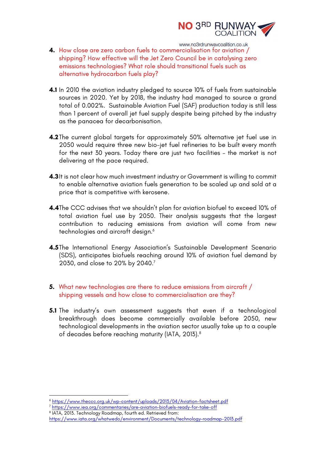

- www.no3rdrunwaycoalition.co.uk **4.** How close are zero carbon fuels to commercialisation for aviation / shipping? How effective will the Jet Zero Council be in catalysing zero emissions technologies? What role should transitional fuels such as alternative hydrocarbon fuels play?
- **4.1** In 2010 the aviation industry pledged to source 10% of fuels from sustainable sources in 2020. Yet by 2018, the industry had managed to source a grand total of 0.002%. Sustainable Aviation Fuel (SAF) production today is still less than 1 percent of overall jet fuel supply despite being pitched by the industry as the panacea for decarbonisation.
- **4.2**The current global targets for approximately 50% alternative jet fuel use in 2050 would require three new bio-jet fuel refineries to be built every month for the next 30 years. Today there are just two facilities – the market is not delivering at the pace required.
- **4.3**It is not clear how much investment industry or Government is willing to commit to enable alternative aviation fuels generation to be scaled up and sold at a price that is competitive with kerosene.
- **4.4**The CCC advises that we shouldn't plan for aviation biofuel to exceed 10% of total aviation fuel use by 2050. Their analysis suggests that the largest contribution to reducing emissions from aviation will come from new technologies and aircraft design.<sup>6</sup>
- **4.5**The International Energy Association's Sustainable Development Scenario (SDS), anticipates biofuels reaching around 10% of aviation fuel demand by 2030, and close to 20% by 2040.7
- **5.** What new technologies are there to reduce emissions from aircraft / shipping vessels and how close to commercialisation are they?
- **5.1** The industry's own assessment suggests that even if a technological breakthrough does become commercially available before 2050, new technological developments in the aviation sector usually take up to a couple of decades before reaching maturity (IATA, 2013).8

<sup>6</sup> https://www.theccc.org.uk/wp-content/uploads/2013/04/Aviation-factsheet.pdf

<sup>7</sup> https://www.iea.org/commentaries/are-aviation-biofuels-ready-for-take-off

<sup>8</sup> IATA, 2013. Technology Roadmap, fourth ed. Retrieved from:

https://www.iata.org/whatwedo/environment/Documents/technology-roadmap-2013.pdf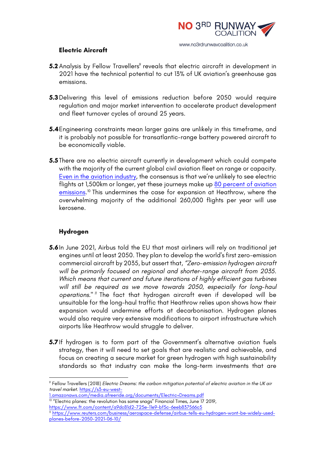

#### **Electric Aircraft**

- **5.2** Analysis by Fellow Travellers<sup>9</sup> reveals that electric aircraft in development in 2021 have the technical potential to cut 13% of UK aviation's greenhouse gas emissions.
- **5.3**Delivering this level of emissions reduction before 2050 would require regulation and major market intervention to accelerate product development and fleet turnover cycles of around 25 years.
- **5.4**Engineering constraints mean larger gains are unlikely in this timeframe, and it is probably not possible for transatlantic-range battery powered aircraft to be economically viable.
- **5.5**There are no electric aircraft currently in development which could compete with the majority of the current global civil aviation fleet on range or capacity. Even in the aviation industry, the consensus is that we're unlikely to see electric flights at 1,500km or longer, yet these journeys make up 80 percent of aviation emissions.<sup>10</sup> This undermines the case for expansion at Heathrow, where the overwhelming majority of the additional 260,000 flights per year will use kerosene.

## **Hydrogen**

- **5.6**In June 2021, Airbus told the EU that most airliners will rely on traditional jet engines until at least 2050. They plan to develop the world's first zero-emission commercial aircraft by 2035, but assert that, *"Zero-emission hydrogen aircraft will be primarily focused on regional and shorter-range aircraft from 2035. Which means that current and future iterations of highly efficient gas turbines will still be required as we move towards 2050, especially for long-haul operations." <sup>11</sup>* The fact that hydrogen aircraft even if developed will be unsuitable for the long-haul traffic that Heathrow relies upon shows how their expansion would undermine efforts at decarbonisation. Hydrogen planes would also require very extensive modifications to airport infrastructure which airports like Heathrow would struggle to deliver.
- **5.7**If hydrogen is to form part of the Government's alternative aviation fuels strategy, then it will need to set goals that are realistic and achievable, and focus on creating a secure market for green hydrogen with high sustainability standards so that industry can make the long-term investments that are

<sup>9</sup> Fellow Travellers (2018) *Electric Dreams: the carbon mitigation potential of electric aviation in the UK air travel market*. https://s3-eu-west-

<sup>1.</sup>amazonaws.com/media.afreeride.org/documents/Electric+Dreams.pdf <sup>10</sup> "Electric planes: the revolution has some snags" Financial Times, June 17 2019,

https://www.ft.com/content/a9dc81d2-725e-11e9-bf5c-6eeb837566c5

<sup>11</sup> https://www.reuters.com/business/aerospace-defense/airbus-tells-eu-hydrogen-wont-be-widely-usedplanes-before-2050-2021-06-10/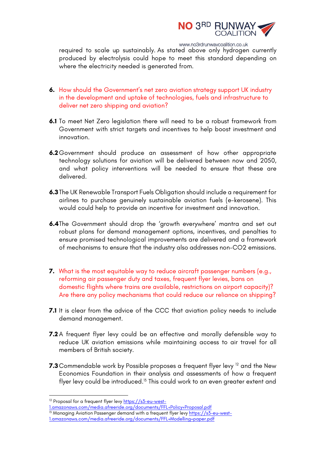

www.no3rdrunwaycoalition.co.uk

required to scale up sustainably. As stated above only hydrogen currently produced by electrolysis could hope to meet this standard depending on where the electricity needed is generated from.

- **6.** How should the Government's net zero aviation strategy support UK industry in the development and uptake of technologies, fuels and infrastructure to deliver net zero shipping and aviation?
- **6.1** To meet Net Zero legislation there will need to be a robust framework from Government with strict targets and incentives to help boost investment and innovation.
- **6.2**Government should produce an assessment of how other appropriate technology solutions for aviation will be delivered between now and 2050, and what policy interventions will be needed to ensure that these are delivered.
- **6.3**The UK Renewable Transport Fuels Obligation should include a requirement for airlines to purchase genuinely sustainable aviation fuels (e-kerosene). This would could help to provide an incentive for investment and innovation.
- **6.4**The Government should drop the 'growth everywhere' mantra and set out robust plans for demand management options, incentives, and penalties to ensure promised technological improvements are delivered and a framework of mechanisms to ensure that the industry also addresses non-CO2 emissions.
- **7.** What is the most equitable way to reduce aircraft passenger numbers (e.g., reforming air passenger duty and taxes, frequent flyer levies, bans on domestic flights where trains are available, restrictions on airport capacity)? Are there any policy mechanisms that could reduce our reliance on shipping?
- **7.1** It is clear from the advice of the CCC that aviation policy needs to include demand management.
- **7.2** A frequent flyer levy could be an effective and morally defensible way to reduce UK aviation emissions while maintaining access to air travel for all members of British society.
- **7.3** Commendable work by Possible proposes a frequent flyer levy <sup>12</sup> and the New Economics Foundation in their analysis and assessments of how a frequent flyer levy could be introduced.<sup>13</sup> This could work to an even greater extent and

 

1.amazonaws.com/media.afreeride.org/documents/FFL+Policy+Proposal.pdf

<sup>&</sup>lt;sup>12</sup> Proposal for a frequent flyer levy https://s3-eu-west-

<sup>&</sup>lt;sup>13</sup> Managing Aviation Passenger demand with a frequent flyer levy <u>https://s3-eu-west-</u>

<sup>1.</sup>amazonaws.com/media.afreeride.org/documents/FFL+Modelling+paper.pdf